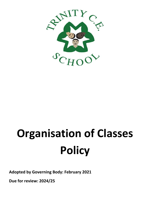

# **Organisation of Classes Policy**

**Adopted by Governing Body: February 2021**

**Due for review: 2024/25**